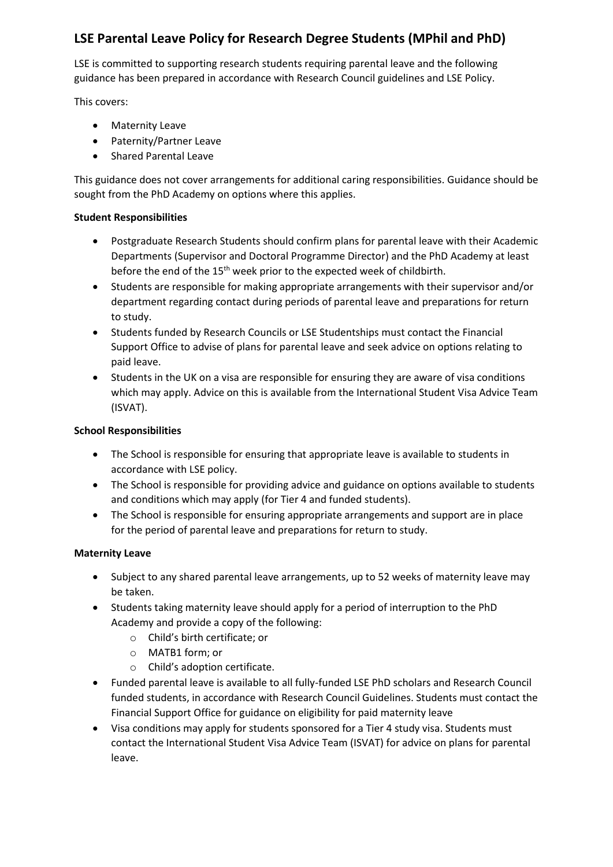# **LSE Parental Leave Policy for Research Degree Students (MPhil and PhD)**

LSE is committed to supporting research students requiring parental leave and the following guidance has been prepared in accordance with Research Council guidelines and LSE Policy.

This covers:

- Maternity Leave
- Paternity/Partner Leave
- Shared Parental Leave

This guidance does not cover arrangements for additional caring responsibilities. Guidance should be sought from the PhD Academy on options where this applies.

## **Student Responsibilities**

- Postgraduate Research Students should confirm plans for parental leave with their Academic Departments (Supervisor and Doctoral Programme Director) and the PhD Academy at least before the end of the 15<sup>th</sup> week prior to the expected week of childbirth.
- Students are responsible for making appropriate arrangements with their supervisor and/or department regarding contact during periods of parental leave and preparations for return to study.
- Students funded by Research Councils or LSE Studentships must contact the Financial Support Office to advise of plans for parental leave and seek advice on options relating to paid leave.
- Students in the UK on a visa are responsible for ensuring they are aware of visa conditions which may apply. Advice on this is available from the International Student Visa Advice Team (ISVAT).

## **School Responsibilities**

- The School is responsible for ensuring that appropriate leave is available to students in accordance with LSE policy.
- The School is responsible for providing advice and guidance on options available to students and conditions which may apply (for Tier 4 and funded students).
- The School is responsible for ensuring appropriate arrangements and support are in place for the period of parental leave and preparations for return to study.

## **Maternity Leave**

- Subject to any shared parental leave arrangements, up to 52 weeks of maternity leave may be taken.
- Students taking maternity leave should apply for a period of interruption to the PhD Academy and provide a copy of the following:
	- o Child's birth certificate; or
	- o MATB1 form; or
	- o Child's adoption certificate.
- Funded parental leave is available to all fully-funded LSE PhD scholars and Research Council funded students, in accordance with Research Council Guidelines. Students must contact the Financial Support Office for guidance on eligibility for paid maternity leave
- Visa conditions may apply for students sponsored for a Tier 4 study visa. Students must contact the International Student Visa Advice Team (ISVAT) for advice on plans for parental leave.